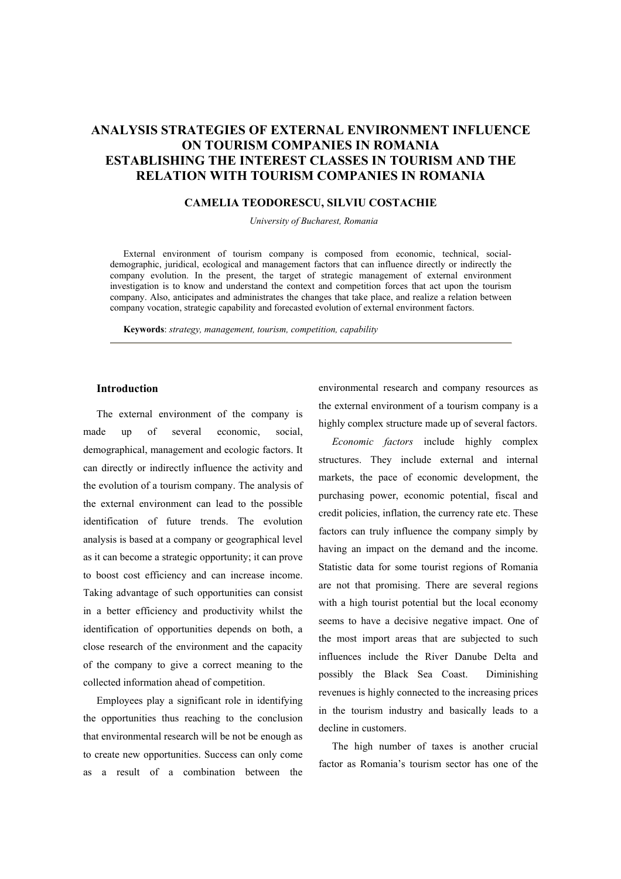# **ANALYSIS STRATEGIES OF EXTERNAL ENVIRONMENT INFLUENCE ON TOURISM COMPANIES IN ROMANIA ESTABLISHING THE INTEREST CLASSES IN TOURISM AND THE RELATION WITH TOURISM COMPANIES IN ROMANIA**

### **CAMELIA TEODORESCU, SILVIU COSTACHIE**

*University of Bucharest, Romania* 

External environment of tourism company is composed from economic, technical, socialdemographic, juridical, ecological and management factors that can influence directly or indirectly the company evolution. In the present, the target of strategic management of external environment investigation is to know and understand the context and competition forces that act upon the tourism company. Also, anticipates and administrates the changes that take place, and realize a relation between company vocation, strategic capability and forecasted evolution of external environment factors.

**Keywords**: *strategy, management, tourism, competition, capability*

### **Introduction**

The external environment of the company is made up of several economic, social, demographical, management and ecologic factors. It can directly or indirectly influence the activity and the evolution of a tourism company. The analysis of the external environment can lead to the possible identification of future trends. The evolution analysis is based at a company or geographical level as it can become a strategic opportunity; it can prove to boost cost efficiency and can increase income. Taking advantage of such opportunities can consist in a better efficiency and productivity whilst the identification of opportunities depends on both, a close research of the environment and the capacity of the company to give a correct meaning to the collected information ahead of competition.

Employees play a significant role in identifying the opportunities thus reaching to the conclusion that environmental research will be not be enough as to create new opportunities. Success can only come as a result of a combination between the

environmental research and company resources as the external environment of a tourism company is a highly complex structure made up of several factors.

*Economic factors* include highly complex structures. They include external and internal markets, the pace of economic development, the purchasing power, economic potential, fiscal and credit policies, inflation, the currency rate etc. These factors can truly influence the company simply by having an impact on the demand and the income. Statistic data for some tourist regions of Romania are not that promising. There are several regions with a high tourist potential but the local economy seems to have a decisive negative impact. One of the most import areas that are subjected to such influences include the River Danube Delta and possibly the Black Sea Coast. Diminishing revenues is highly connected to the increasing prices in the tourism industry and basically leads to a decline in customers.

The high number of taxes is another crucial factor as Romania's tourism sector has one of the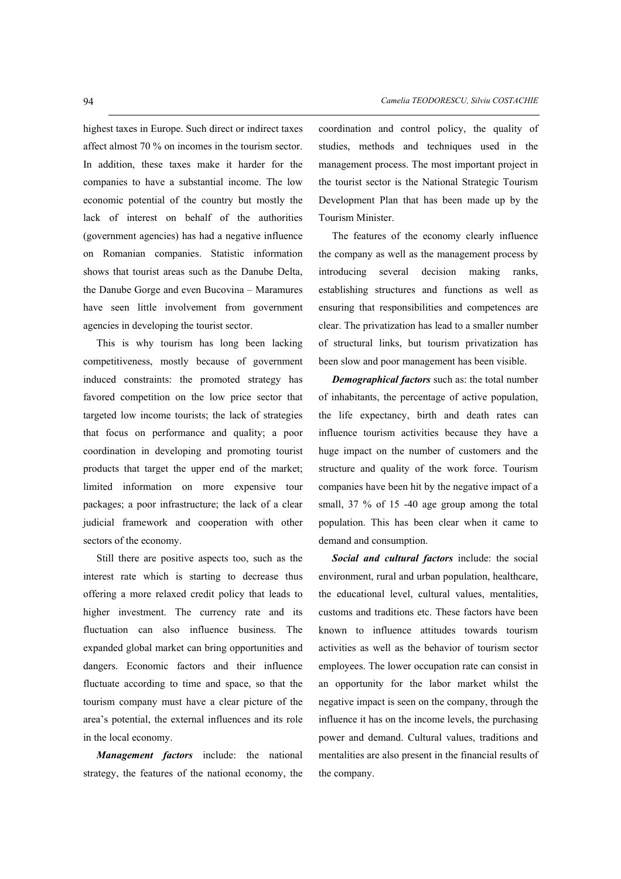highest taxes in Europe. Such direct or indirect taxes affect almost 70 % on incomes in the tourism sector. In addition, these taxes make it harder for the companies to have a substantial income. The low economic potential of the country but mostly the lack of interest on behalf of the authorities (government agencies) has had a negative influence on Romanian companies. Statistic information shows that tourist areas such as the Danube Delta, the Danube Gorge and even Bucovina – Maramures have seen little involvement from government agencies in developing the tourist sector.

This is why tourism has long been lacking competitiveness, mostly because of government induced constraints: the promoted strategy has favored competition on the low price sector that targeted low income tourists; the lack of strategies that focus on performance and quality; a poor coordination in developing and promoting tourist products that target the upper end of the market; limited information on more expensive tour packages; a poor infrastructure; the lack of a clear judicial framework and cooperation with other sectors of the economy.

Still there are positive aspects too, such as the interest rate which is starting to decrease thus offering a more relaxed credit policy that leads to higher investment. The currency rate and its fluctuation can also influence business. The expanded global market can bring opportunities and dangers. Economic factors and their influence fluctuate according to time and space, so that the tourism company must have a clear picture of the area's potential, the external influences and its role in the local economy.

*Management factors* include: the national strategy, the features of the national economy, the coordination and control policy, the quality of studies, methods and techniques used in the management process. The most important project in the tourist sector is the National Strategic Tourism Development Plan that has been made up by the Tourism Minister.

The features of the economy clearly influence the company as well as the management process by introducing several decision making ranks, establishing structures and functions as well as ensuring that responsibilities and competences are clear. The privatization has lead to a smaller number of structural links, but tourism privatization has been slow and poor management has been visible.

*Demographical factors* such as: the total number of inhabitants, the percentage of active population, the life expectancy, birth and death rates can influence tourism activities because they have a huge impact on the number of customers and the structure and quality of the work force. Tourism companies have been hit by the negative impact of a small, 37 % of 15 -40 age group among the total population. This has been clear when it came to demand and consumption.

*Social and cultural factors* include: the social environment, rural and urban population, healthcare, the educational level, cultural values, mentalities, customs and traditions etc. These factors have been known to influence attitudes towards tourism activities as well as the behavior of tourism sector employees. The lower occupation rate can consist in an opportunity for the labor market whilst the negative impact is seen on the company, through the influence it has on the income levels, the purchasing power and demand. Cultural values, traditions and mentalities are also present in the financial results of the company.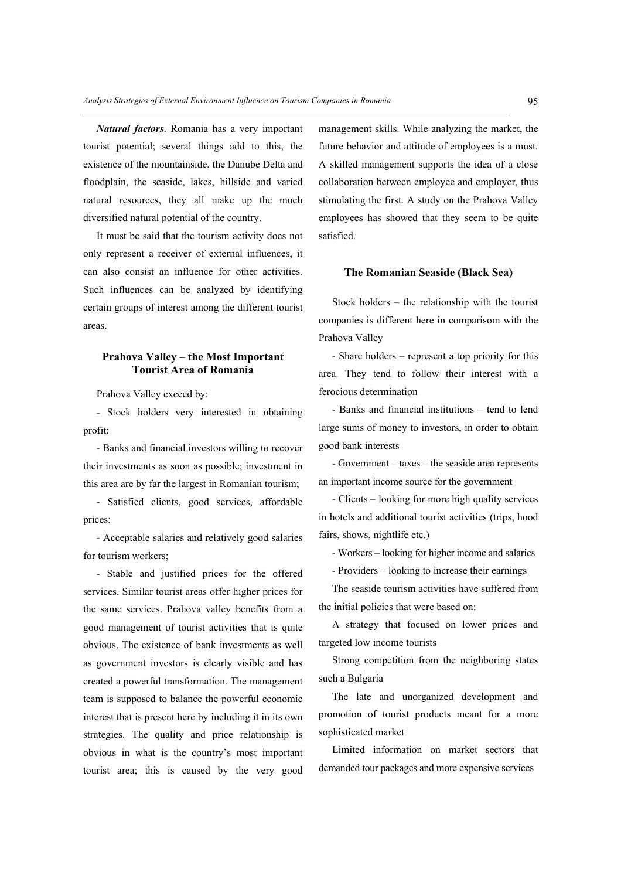*Natural factors*. Romania has a very important tourist potential; several things add to this, the existence of the mountainside, the Danube Delta and floodplain, the seaside, lakes, hillside and varied natural resources, they all make up the much diversified natural potential of the country.

It must be said that the tourism activity does not only represent a receiver of external influences, it can also consist an influence for other activities. Such influences can be analyzed by identifying certain groups of interest among the different tourist areas.

### **Prahova Valley the Most Important Tourist Area of Romania**

Prahova Valley exceed by:

- Stock holders very interested in obtaining profit;

- Banks and financial investors willing to recover their investments as soon as possible; investment in this area are by far the largest in Romanian tourism;

- Satisfied clients, good services, affordable prices;

- Acceptable salaries and relatively good salaries for tourism workers;

- Stable and justified prices for the offered services. Similar tourist areas offer higher prices for the same services. Prahova valley benefits from a good management of tourist activities that is quite obvious. The existence of bank investments as well as government investors is clearly visible and has created a powerful transformation. The management team is supposed to balance the powerful economic interest that is present here by including it in its own strategies. The quality and price relationship is obvious in what is the country's most important tourist area; this is caused by the very good

management skills. While analyzing the market, the future behavior and attitude of employees is a must. A skilled management supports the idea of a close collaboration between employee and employer, thus stimulating the first. A study on the Prahova Valley employees has showed that they seem to be quite satisfied.

#### **The Romanian Seaside (Black Sea)**

Stock holders  $-$  the relationship with the tourist companies is different here in comparisom with the Prahova Valley

- Share holders – represent a top priority for this area. They tend to follow their interest with a ferocious determination

- Banks and financial institutions – tend to lend large sums of money to investors, in order to obtain good bank interests

 $-$  Government  $-$  taxes  $-$  the seaside area represents an important income source for the government

- Clients – looking for more high quality services in hotels and additional tourist activities (trips, hood fairs, shows, nightlife etc.)

- Workers - looking for higher income and salaries

- Providers – looking to increase their earnings

The seaside tourism activities have suffered from the initial policies that were based on:

A strategy that focused on lower prices and targeted low income tourists

Strong competition from the neighboring states such a Bulgaria

The late and unorganized development and promotion of tourist products meant for a more sophisticated market

Limited information on market sectors that demanded tour packages and more expensive services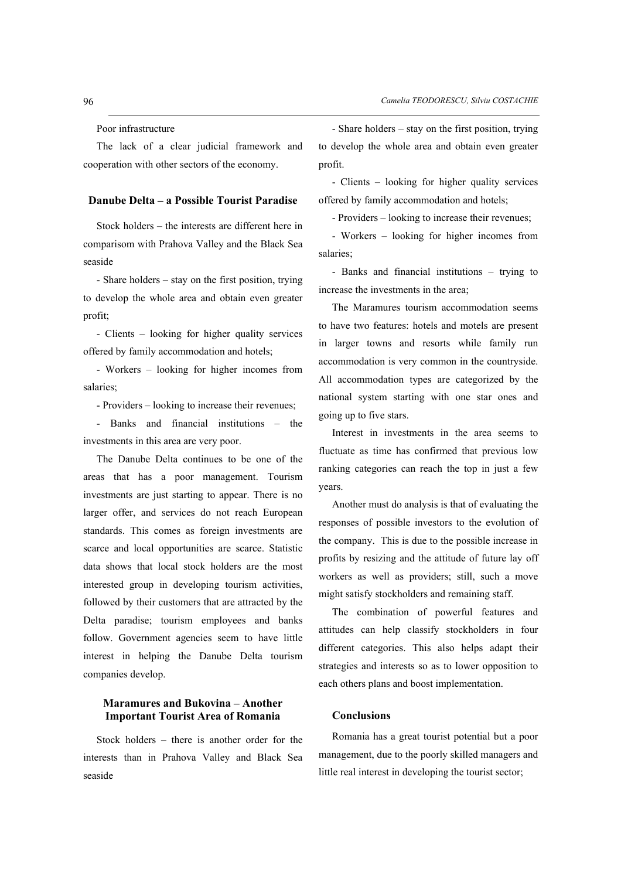Poor infrastructure

The lack of a clear judicial framework and cooperation with other sectors of the economy.

### **Danube Delta – a Possible Tourist Paradise**

Stock holders  $-$  the interests are different here in comparisom with Prahova Valley and the Black Sea seaside

 $-$  Share holders  $-$  stay on the first position, trying to develop the whole area and obtain even greater profit;

- Clients – looking for higher quality services offered by family accommodation and hotels;

- Workers – looking for higher incomes from salaries;

- Providers – looking to increase their revenues;

- Banks and financial institutions – the investments in this area are very poor.

The Danube Delta continues to be one of the areas that has a poor management. Tourism investments are just starting to appear. There is no larger offer, and services do not reach European standards. This comes as foreign investments are scarce and local opportunities are scarce. Statistic data shows that local stock holders are the most interested group in developing tourism activities, followed by their customers that are attracted by the Delta paradise; tourism employees and banks follow. Government agencies seem to have little interest in helping the Danube Delta tourism companies develop.

## **Maramures and Bukovina – Another Important Tourist Area of Romania**

Stock holders  $-$  there is another order for the interests than in Prahova Valley and Black Sea seaside

 $-$  Share holders  $-$  stay on the first position, trying to develop the whole area and obtain even greater profit.

- Clients – looking for higher quality services offered by family accommodation and hotels;

- Providers – looking to increase their revenues;

- Workers – looking for higher incomes from salaries;

- Banks and financial institutions – trying to increase the investments in the area;

The Maramures tourism accommodation seems to have two features: hotels and motels are present in larger towns and resorts while family run accommodation is very common in the countryside. All accommodation types are categorized by the national system starting with one star ones and going up to five stars.

Interest in investments in the area seems to fluctuate as time has confirmed that previous low ranking categories can reach the top in just a few years.

Another must do analysis is that of evaluating the responses of possible investors to the evolution of the company. This is due to the possible increase in profits by resizing and the attitude of future lay off workers as well as providers; still, such a move might satisfy stockholders and remaining staff.

The combination of powerful features and attitudes can help classify stockholders in four different categories. This also helps adapt their strategies and interests so as to lower opposition to each others plans and boost implementation.

### **Conclusions**

Romania has a great tourist potential but a poor management, due to the poorly skilled managers and little real interest in developing the tourist sector;